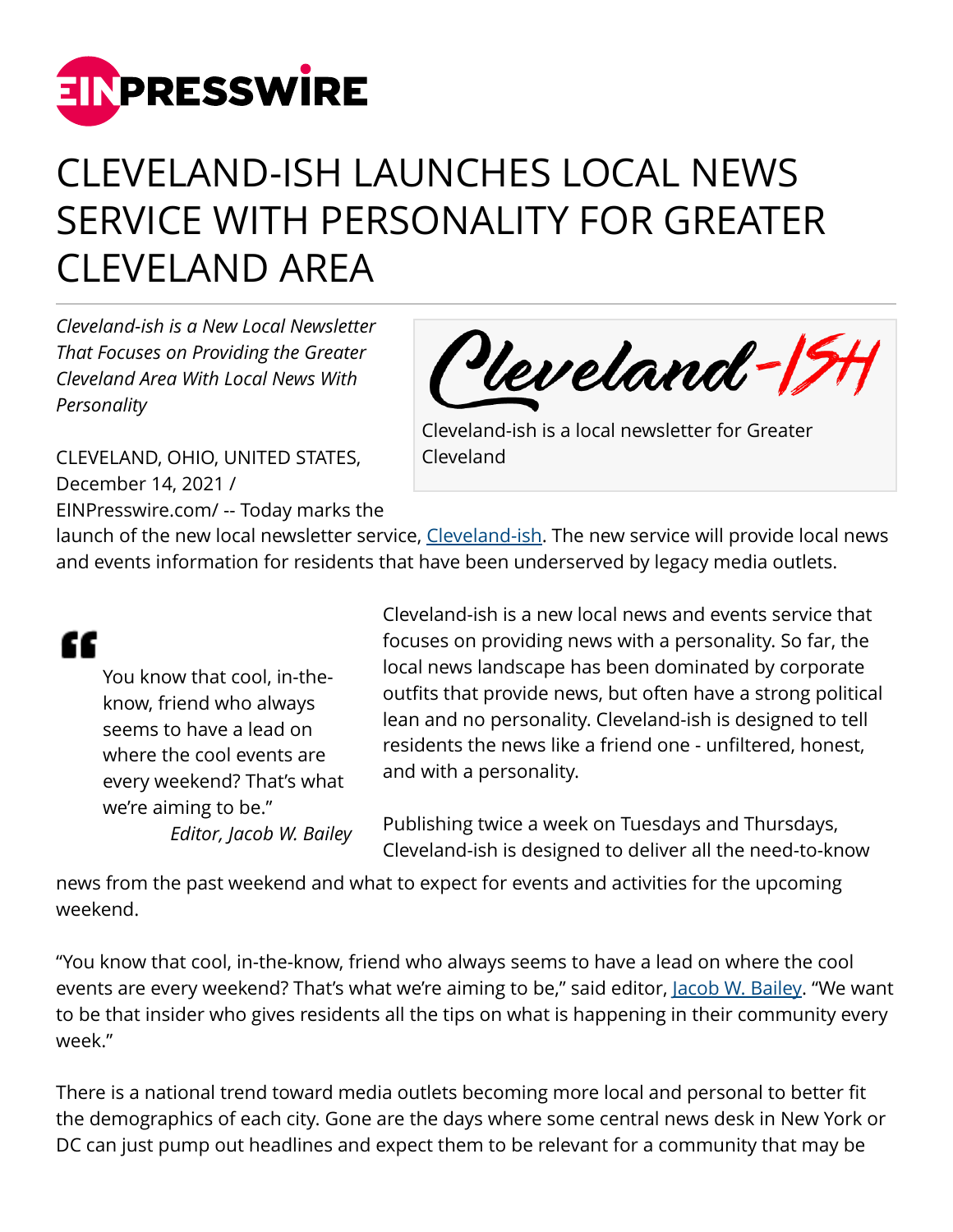

## CLEVELAND-ISH LAUNCHES LOCAL NEWS SERVICE WITH PERSONALITY FOR GREATER CLEVELAND AREA

*Cleveland-ish is a New Local Newsletter That Focuses on Providing the Greater Cleveland Area With Local News With Personality*



CLEVELAND, OHIO, UNITED STATES, December 14, 2021 / [EINPresswire.com](http://www.einpresswire.com)/ -- Today marks the Cleveland-ish is a local newsletter for Greater Cleveland

launch of the new local newsletter service, [Cleveland-ish](https://clevelandish.co). The new service will provide local news and events information for residents that have been underserved by legacy media outlets.

## "

You know that cool, in-theknow, friend who always seems to have a lead on where the cool events are every weekend? That's what we're aiming to be." *Editor, Jacob W. Bailey* Cleveland-ish is a new local news and events service that focuses on providing news with a personality. So far, the local news landscape has been dominated by corporate outfits that provide news, but often have a strong political lean and no personality. Cleveland-ish is designed to tell residents the news like a friend one - unfiltered, honest, and with a personality.

Publishing twice a week on Tuesdays and Thursdays, Cleveland-ish is designed to deliver all the need-to-know

news from the past weekend and what to expect for events and activities for the upcoming weekend.

"You know that cool, in-the-know, friend who always seems to have a lead on where the cool events are every weekend? That's what we're aiming to be," said editor, <u>Jacob W. Bailey</u>. "We want to be that insider who gives residents all the tips on what is happening in their community every week."

There is a national trend toward media outlets becoming more local and personal to better fit the demographics of each city. Gone are the days where some central news desk in New York or DC can just pump out headlines and expect them to be relevant for a community that may be